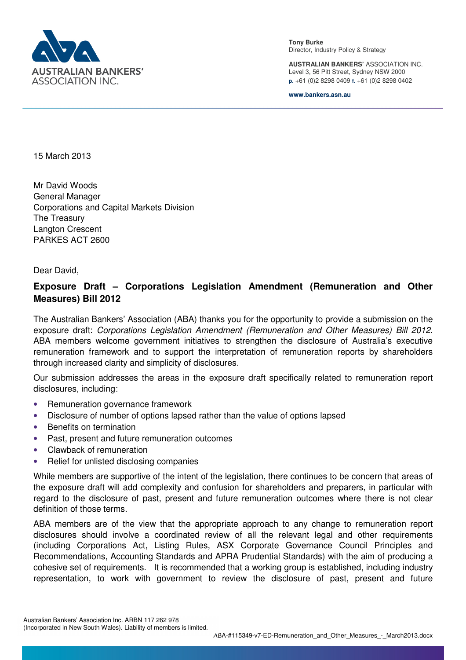

**Tony Burke**  Director, Industry Policy & Strategy

**AUSTRALIAN BANKERS'** ASSOCIATION INC. Level 3, 56 Pitt Street, Sydney NSW 2000 **p.** +61 (0)2 8298 0409 **f.** +61 (0)2 8298 0402

**www.bankers.asn.au**

15 March 2013

Mr David Woods General Manager Corporations and Capital Markets Division The Treasury Langton Crescent PARKES ACT 2600

Dear David,

## **Exposure Draft – Corporations Legislation Amendment (Remuneration and Other Measures) Bill 2012**

The Australian Bankers' Association (ABA) thanks you for the opportunity to provide a submission on the exposure draft: *Corporations Legislation Amendment (Remuneration and Other Measures) Bill 2012*. ABA members welcome government initiatives to strengthen the disclosure of Australia's executive remuneration framework and to support the interpretation of remuneration reports by shareholders through increased clarity and simplicity of disclosures.

Our submission addresses the areas in the exposure draft specifically related to remuneration report disclosures, including:

- Remuneration governance framework
- Disclosure of number of options lapsed rather than the value of options lapsed
- Benefits on termination
- Past, present and future remuneration outcomes
- Clawback of remuneration
- Relief for unlisted disclosing companies

While members are supportive of the intent of the legislation, there continues to be concern that areas of the exposure draft will add complexity and confusion for shareholders and preparers, in particular with regard to the disclosure of past, present and future remuneration outcomes where there is not clear definition of those terms.

ABA members are of the view that the appropriate approach to any change to remuneration report disclosures should involve a coordinated review of all the relevant legal and other requirements (including Corporations Act, Listing Rules, ASX Corporate Governance Council Principles and Recommendations, Accounting Standards and APRA Prudential Standards) with the aim of producing a cohesive set of requirements. It is recommended that a working group is established, including industry representation, to work with government to review the disclosure of past, present and future

Australian Bankers' Association Inc. ARBN 117 262 978 (Incorporated in New South Wales). Liability of members is limited.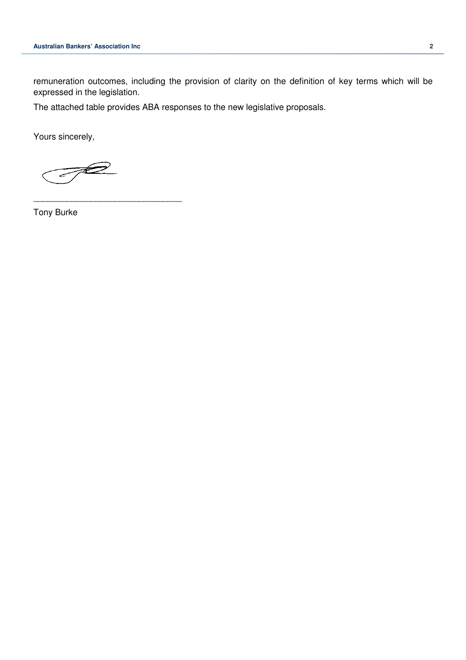remuneration outcomes, including the provision of clarity on the definition of key terms which will be expressed in the legislation.

The attached table provides ABA responses to the new legislative proposals.

Yours sincerely,

 $\overline{\mathscr{D}}$ سے

\_\_\_\_\_\_\_\_\_\_\_\_\_\_\_\_\_\_\_\_\_\_\_\_\_\_\_\_\_\_\_

Tony Burke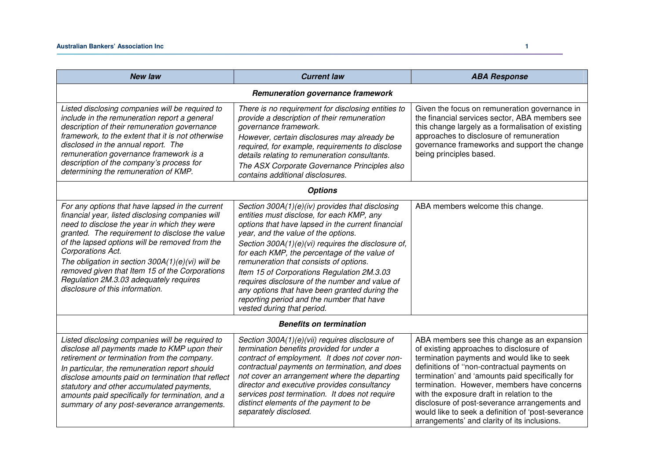| <b>New law</b>                                                                                                                                                                                                                                                                                                                                                                                                                                                    | <b>Current law</b>                                                                                                                                                                                                                                                                                                                                                                                                                                                                                                                                                   | <b>ABA Response</b>                                                                                                                                                                                                                                                                                                                                                                                                                                                                         |  |  |
|-------------------------------------------------------------------------------------------------------------------------------------------------------------------------------------------------------------------------------------------------------------------------------------------------------------------------------------------------------------------------------------------------------------------------------------------------------------------|----------------------------------------------------------------------------------------------------------------------------------------------------------------------------------------------------------------------------------------------------------------------------------------------------------------------------------------------------------------------------------------------------------------------------------------------------------------------------------------------------------------------------------------------------------------------|---------------------------------------------------------------------------------------------------------------------------------------------------------------------------------------------------------------------------------------------------------------------------------------------------------------------------------------------------------------------------------------------------------------------------------------------------------------------------------------------|--|--|
| Remuneration governance framework                                                                                                                                                                                                                                                                                                                                                                                                                                 |                                                                                                                                                                                                                                                                                                                                                                                                                                                                                                                                                                      |                                                                                                                                                                                                                                                                                                                                                                                                                                                                                             |  |  |
| Listed disclosing companies will be required to<br>include in the remuneration report a general<br>description of their remuneration governance<br>framework, to the extent that it is not otherwise<br>disclosed in the annual report. The<br>remuneration governance framework is a<br>description of the company's process for<br>determining the remuneration of KMP.                                                                                         | There is no requirement for disclosing entities to<br>provide a description of their remuneration<br>governance framework.<br>However, certain disclosures may already be<br>required, for example, requirements to disclose<br>details relating to remuneration consultants.<br>The ASX Corporate Governance Principles also<br>contains additional disclosures.                                                                                                                                                                                                    | Given the focus on remuneration governance in<br>the financial services sector, ABA members see<br>this change largely as a formalisation of existing<br>approaches to disclosure of remuneration<br>governance frameworks and support the change<br>being principles based.                                                                                                                                                                                                                |  |  |
| <b>Options</b>                                                                                                                                                                                                                                                                                                                                                                                                                                                    |                                                                                                                                                                                                                                                                                                                                                                                                                                                                                                                                                                      |                                                                                                                                                                                                                                                                                                                                                                                                                                                                                             |  |  |
| For any options that have lapsed in the current<br>financial year, listed disclosing companies will<br>need to disclose the year in which they were<br>granted. The requirement to disclose the value<br>of the lapsed options will be removed from the<br>Corporations Act.<br>The obligation in section $300A(1)(e)(vi)$ will be<br>removed given that Item 15 of the Corporations<br>Regulation 2M.3.03 adequately requires<br>disclosure of this information. | Section 300A(1)(e)(iv) provides that disclosing<br>entities must disclose, for each KMP, any<br>options that have lapsed in the current financial<br>year, and the value of the options.<br>Section 300A(1)(e)(vi) requires the disclosure of,<br>for each KMP, the percentage of the value of<br>remuneration that consists of options.<br>Item 15 of Corporations Regulation 2M.3.03<br>requires disclosure of the number and value of<br>any options that have been granted during the<br>reporting period and the number that have<br>vested during that period. | ABA members welcome this change.                                                                                                                                                                                                                                                                                                                                                                                                                                                            |  |  |
| <b>Benefits on termination</b>                                                                                                                                                                                                                                                                                                                                                                                                                                    |                                                                                                                                                                                                                                                                                                                                                                                                                                                                                                                                                                      |                                                                                                                                                                                                                                                                                                                                                                                                                                                                                             |  |  |
| Listed disclosing companies will be required to<br>disclose all payments made to KMP upon their<br>retirement or termination from the company.<br>In particular, the remuneration report should<br>disclose amounts paid on termination that reflect<br>statutory and other accumulated payments,<br>amounts paid specifically for termination, and a<br>summary of any post-severance arrangements.                                                              | Section 300A(1)(e)(vii) requires disclosure of<br>termination benefits provided for under a<br>contract of employment. It does not cover non-<br>contractual payments on termination, and does<br>not cover an arrangement where the departing<br>director and executive provides consultancy<br>services post termination. It does not require<br>distinct elements of the payment to be<br>separately disclosed.                                                                                                                                                   | ABA members see this change as an expansion<br>of existing approaches to disclosure of<br>termination payments and would like to seek<br>definitions of "non-contractual payments on<br>termination' and 'amounts paid specifically for<br>termination. However, members have concerns<br>with the exposure draft in relation to the<br>disclosure of post-severance arrangements and<br>would like to seek a definition of 'post-severance<br>arrangements' and clarity of its inclusions. |  |  |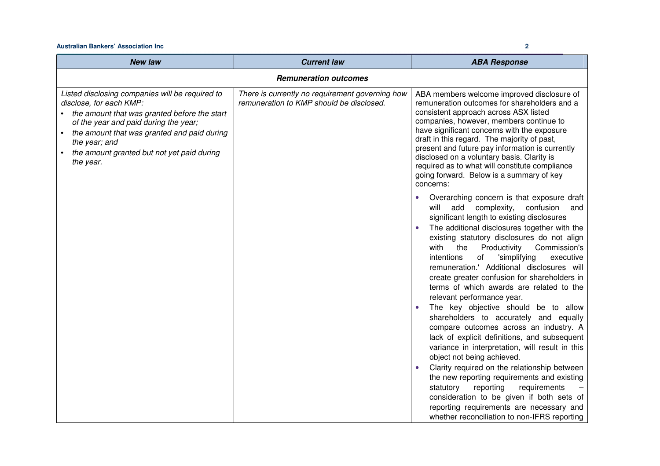## **Australian Bankers' Association Inc 2**

| <b>New law</b>                                                                                                                                                                                                                                                                                   | <b>Current law</b>                                                                          | <b>ABA Response</b>                                                                                                                                                                                                                                                                                                                                                                                                                                                                                                                    |  |  |
|--------------------------------------------------------------------------------------------------------------------------------------------------------------------------------------------------------------------------------------------------------------------------------------------------|---------------------------------------------------------------------------------------------|----------------------------------------------------------------------------------------------------------------------------------------------------------------------------------------------------------------------------------------------------------------------------------------------------------------------------------------------------------------------------------------------------------------------------------------------------------------------------------------------------------------------------------------|--|--|
| <b>Remuneration outcomes</b>                                                                                                                                                                                                                                                                     |                                                                                             |                                                                                                                                                                                                                                                                                                                                                                                                                                                                                                                                        |  |  |
| Listed disclosing companies will be required to<br>disclose, for each KMP:<br>• the amount that was granted before the start<br>of the year and paid during the year;<br>the amount that was granted and paid during<br>the year; and<br>the amount granted but not yet paid during<br>the year. | There is currently no requirement governing how<br>remuneration to KMP should be disclosed. | ABA members welcome improved disclosure of<br>remuneration outcomes for shareholders and a<br>consistent approach across ASX listed<br>companies, however, members continue to<br>have significant concerns with the exposure<br>draft in this regard. The majority of past,<br>present and future pay information is currently<br>disclosed on a voluntary basis. Clarity is<br>required as to what will constitute compliance<br>going forward. Below is a summary of key<br>concerns:<br>Overarching concern is that exposure draft |  |  |
|                                                                                                                                                                                                                                                                                                  |                                                                                             | add complexity,<br>confusion<br>will<br>and<br>significant length to existing disclosures<br>The additional disclosures together with the<br>existing statutory disclosures do not align<br>with<br>the<br>Productivity<br>Commission's<br>intentions<br>of<br>'simplifying<br>executive<br>remuneration.' Additional disclosures will<br>create greater confusion for shareholders in<br>terms of which awards are related to the<br>relevant performance year.                                                                       |  |  |
|                                                                                                                                                                                                                                                                                                  |                                                                                             | The key objective should be to allow<br>shareholders to accurately and equally<br>compare outcomes across an industry. A<br>lack of explicit definitions, and subsequent<br>variance in interpretation, will result in this<br>object not being achieved.<br>Clarity required on the relationship between<br>the new reporting requirements and existing<br>reporting<br>statutory<br>requirements                                                                                                                                     |  |  |
|                                                                                                                                                                                                                                                                                                  |                                                                                             | consideration to be given if both sets of<br>reporting requirements are necessary and<br>whether reconciliation to non-IFRS reporting                                                                                                                                                                                                                                                                                                                                                                                                  |  |  |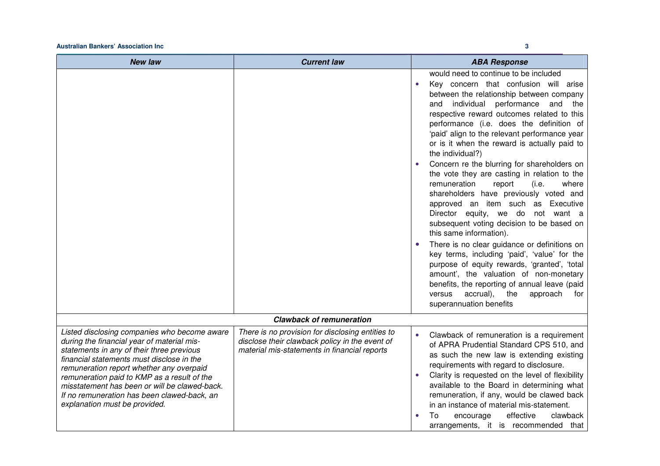## **Australian Bankers' Association Inc 3**

| <b>New law</b>                                                                                                                                                                                                                                                                                                                                                                                                   | <b>Current law</b>                                                                                                                                 | <b>ABA Response</b>                                                                                                                                                                                                                                                                                                                                                                                                                                                                                                                                                                                                                                                                                                                                                                                                                                                                                                                                                                                                                                                        |
|------------------------------------------------------------------------------------------------------------------------------------------------------------------------------------------------------------------------------------------------------------------------------------------------------------------------------------------------------------------------------------------------------------------|----------------------------------------------------------------------------------------------------------------------------------------------------|----------------------------------------------------------------------------------------------------------------------------------------------------------------------------------------------------------------------------------------------------------------------------------------------------------------------------------------------------------------------------------------------------------------------------------------------------------------------------------------------------------------------------------------------------------------------------------------------------------------------------------------------------------------------------------------------------------------------------------------------------------------------------------------------------------------------------------------------------------------------------------------------------------------------------------------------------------------------------------------------------------------------------------------------------------------------------|
|                                                                                                                                                                                                                                                                                                                                                                                                                  |                                                                                                                                                    | would need to continue to be included<br>Key concern that confusion will arise<br>between the relationship between company<br>individual<br>performance<br>and<br>and<br>the<br>respective reward outcomes related to this<br>performance (i.e. does the definition of<br>'paid' align to the relevant performance year<br>or is it when the reward is actually paid to<br>the individual?)<br>Concern re the blurring for shareholders on<br>the vote they are casting in relation to the<br>remuneration<br>(i.e.<br>where<br>report<br>shareholders have previously voted and<br>approved an item such as Executive<br>Director equity, we do<br>not want a<br>subsequent voting decision to be based on<br>this same information).<br>There is no clear guidance or definitions on<br>$\bullet$<br>key terms, including 'paid', 'value' for the<br>purpose of equity rewards, 'granted', 'total<br>amount', the valuation of non-monetary<br>benefits, the reporting of annual leave (paid<br>accrual),<br>the<br>approach<br>versus<br>for<br>superannuation benefits |
|                                                                                                                                                                                                                                                                                                                                                                                                                  | <b>Clawback of remuneration</b>                                                                                                                    |                                                                                                                                                                                                                                                                                                                                                                                                                                                                                                                                                                                                                                                                                                                                                                                                                                                                                                                                                                                                                                                                            |
| Listed disclosing companies who become aware<br>during the financial year of material mis-<br>statements in any of their three previous<br>financial statements must disclose in the<br>remuneration report whether any overpaid<br>remuneration paid to KMP as a result of the<br>misstatement has been or will be clawed-back.<br>If no remuneration has been clawed-back, an<br>explanation must be provided. | There is no provision for disclosing entities to<br>disclose their clawback policy in the event of<br>material mis-statements in financial reports | Clawback of remuneration is a requirement<br>of APRA Prudential Standard CPS 510, and<br>as such the new law is extending existing<br>requirements with regard to disclosure.<br>Clarity is requested on the level of flexibility<br>available to the Board in determining what<br>remuneration, if any, would be clawed back<br>in an instance of material mis-statement.<br>To<br>effective<br>clawback<br>encourage                                                                                                                                                                                                                                                                                                                                                                                                                                                                                                                                                                                                                                                     |

arrangements, it is recommended that